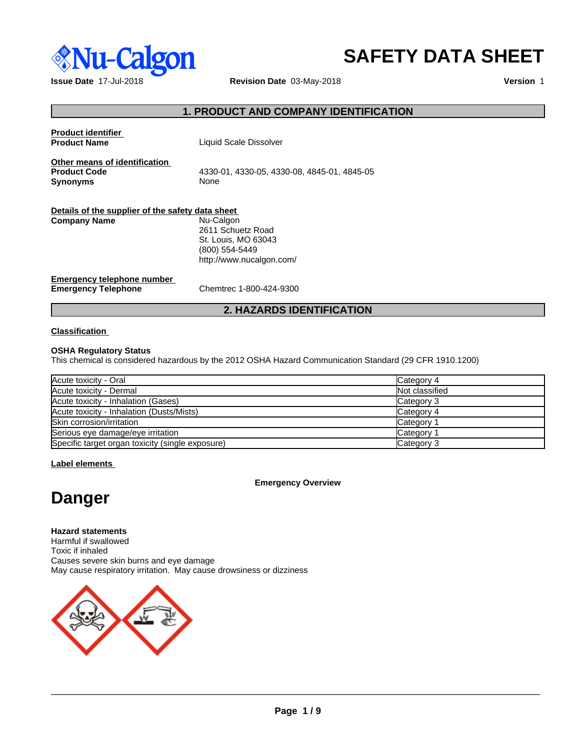

# **SAFETY DATA SHEET**

**Issue Date** 17-Jul-2018 **Revision Date** 03-May-2018 **Version** 1

## **1. PRODUCT AND COMPANY IDENTIFICATION**

| <b>Product identifier</b><br><b>Product Name</b>                        | Liquid Scale Dissolver                                                                              |
|-------------------------------------------------------------------------|-----------------------------------------------------------------------------------------------------|
| Other means of identification<br><b>Product Code</b><br><b>Synonyms</b> | 4330-01, 4330-05, 4330-08, 4845-01, 4845-05<br>None                                                 |
| Details of the supplier of the safety data sheet                        |                                                                                                     |
| <b>Company Name</b>                                                     | Nu-Calgon<br>2611 Schuetz Road<br>St. Louis, MO 63043<br>(800) 554-5449<br>http://www.nucalgon.com/ |
| Emergency telephone number<br><b>Emergency Telephone</b>                | Chemtrec 1-800-424-9300                                                                             |
|                                                                         | <b>2. HAZARDS IDENTIFICATION</b>                                                                    |

#### **Classification**

#### **OSHA Regulatory Status**

This chemical is considered hazardous by the 2012 OSHA Hazard Communication Standard (29 CFR 1910.1200)

| Acute toxicity - Oral                            | Category 4     |
|--------------------------------------------------|----------------|
| Acute toxicity - Dermal                          | Not classified |
| Acute toxicity - Inhalation (Gases)              | Category 3     |
| Acute toxicity - Inhalation (Dusts/Mists)        | Category 4     |
| Skin corrosion/irritation                        | Category 1     |
| Serious eye damage/eye irritation                | Category 1     |
| Specific target organ toxicity (single exposure) | Category 3     |

**Label elements**

#### **Emergency Overview**

# **Danger**

**Hazard statements** Harmful if swallowed Toxic if inhaled Causes severe skin burns and eye damage May cause respiratory irritation. May cause drowsiness or dizziness



 $\overline{\phantom{a}}$  ,  $\overline{\phantom{a}}$  ,  $\overline{\phantom{a}}$  ,  $\overline{\phantom{a}}$  ,  $\overline{\phantom{a}}$  ,  $\overline{\phantom{a}}$  ,  $\overline{\phantom{a}}$  ,  $\overline{\phantom{a}}$  ,  $\overline{\phantom{a}}$  ,  $\overline{\phantom{a}}$  ,  $\overline{\phantom{a}}$  ,  $\overline{\phantom{a}}$  ,  $\overline{\phantom{a}}$  ,  $\overline{\phantom{a}}$  ,  $\overline{\phantom{a}}$  ,  $\overline{\phantom{a}}$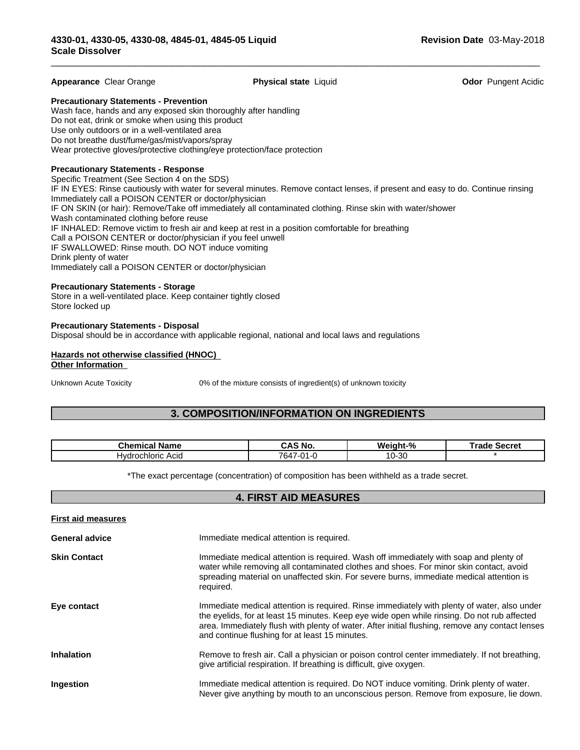#### **Appearance** Clear Orange **Physical state** Liquid **Odor** Pungent Acidic

 $\overline{\phantom{a}}$  ,  $\overline{\phantom{a}}$  ,  $\overline{\phantom{a}}$  ,  $\overline{\phantom{a}}$  ,  $\overline{\phantom{a}}$  ,  $\overline{\phantom{a}}$  ,  $\overline{\phantom{a}}$  ,  $\overline{\phantom{a}}$  ,  $\overline{\phantom{a}}$  ,  $\overline{\phantom{a}}$  ,  $\overline{\phantom{a}}$  ,  $\overline{\phantom{a}}$  ,  $\overline{\phantom{a}}$  ,  $\overline{\phantom{a}}$  ,  $\overline{\phantom{a}}$  ,  $\overline{\phantom{a}}$ 

**Precautionary Statements - Prevention**

Wash face, hands and any exposed skin thoroughly after handling Do not eat, drink or smoke when using this product Use only outdoors or in a well-ventilated area Do not breathe dust/fume/gas/mist/vapors/spray Wear protective gloves/protective clothing/eye protection/face protection

#### **Precautionary Statements - Response**

Specific Treatment (See Section 4 on the SDS) IF IN EYES: Rinse cautiously with water for several minutes. Remove contact lenses, if present and easy to do. Continue rinsing Immediately call a POISON CENTER or doctor/physician IF ON SKIN (or hair): Remove/Take off immediately all contaminated clothing. Rinse skin with water/shower Wash contaminated clothing before reuse IF INHALED: Remove victim to fresh air and keep at rest in a position comfortable for breathing Call a POISON CENTER or doctor/physician if you feel unwell IF SWALLOWED: Rinse mouth. DO NOT induce vomiting Drink plenty of water Immediately call a POISON CENTER or doctor/physician

#### **Precautionary Statements - Storage**

Store in a well-ventilated place. Keep container tightly closed Store locked up

#### **Precautionary Statements - Disposal**

Disposal should be in accordance with applicable regional, national and local laws and regulations

#### **Hazards not otherwise classified (HNOC) Other Information**

Unknown Acute Toxicity 0% of the mixture consists of ingredient(s) of unknown toxicity

#### **3. COMPOSITION/INFORMATION ON INGREDIENTS**

| Chemical<br>Name           | ≦ No.<br>uro      | .<br>aht-%<br>Weinh | Secret<br>г. .<br>таое |
|----------------------------|-------------------|---------------------|------------------------|
| ochloric<br>'Hvdr∈<br>Acia | 7647-1.<br>$\sim$ | -30<br>10-J         |                        |

\*The exact percentage (concentration) of composition has been withheld as a trade secret.

#### **4. FIRST AID MEASURES**

| <b>First aid measures</b> |                                                                                                                                                                                                                                                                                                                                                 |
|---------------------------|-------------------------------------------------------------------------------------------------------------------------------------------------------------------------------------------------------------------------------------------------------------------------------------------------------------------------------------------------|
| <b>General advice</b>     | Immediate medical attention is required.                                                                                                                                                                                                                                                                                                        |
| <b>Skin Contact</b>       | Immediate medical attention is required. Wash off immediately with soap and plenty of<br>water while removing all contaminated clothes and shoes. For minor skin contact, avoid<br>spreading material on unaffected skin. For severe burns, immediate medical attention is<br>required.                                                         |
| Eye contact               | Immediate medical attention is required. Rinse immediately with plenty of water, also under<br>the eyelids, for at least 15 minutes. Keep eye wide open while rinsing. Do not rub affected<br>area. Immediately flush with plenty of water. After initial flushing, remove any contact lenses<br>and continue flushing for at least 15 minutes. |
| <b>Inhalation</b>         | Remove to fresh air. Call a physician or poison control center immediately. If not breathing,<br>give artificial respiration. If breathing is difficult, give oxygen.                                                                                                                                                                           |
| Ingestion                 | Immediate medical attention is required. Do NOT induce vomiting. Drink plenty of water.<br>Never give anything by mouth to an unconscious person. Remove from exposure, lie down.                                                                                                                                                               |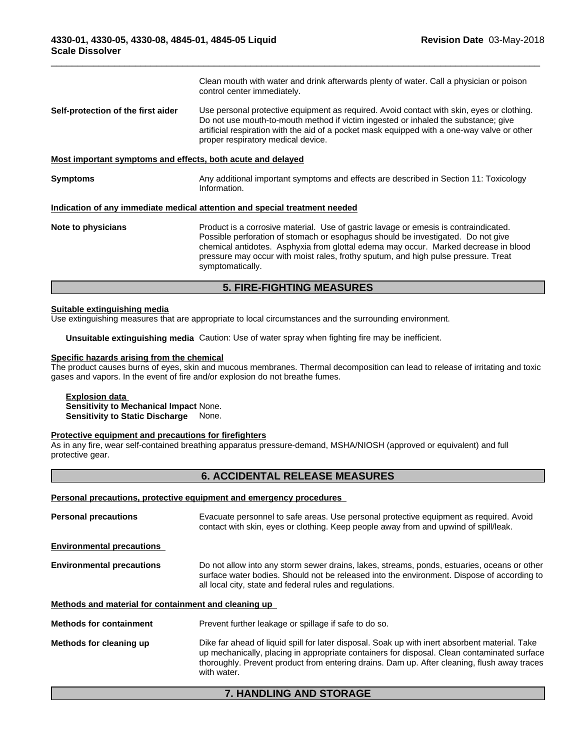|                                                             | <b>5. FIRE-FIGHTING MEASURES</b>                                                                                                                                                                                                                                                                                                                                          |
|-------------------------------------------------------------|---------------------------------------------------------------------------------------------------------------------------------------------------------------------------------------------------------------------------------------------------------------------------------------------------------------------------------------------------------------------------|
| Note to physicians                                          | Product is a corrosive material. Use of gastric lavage or emesis is contraindicated.<br>Possible perforation of stomach or esophagus should be investigated. Do not give<br>chemical antidotes. Asphyxia from glottal edema may occur. Marked decrease in blood<br>pressure may occur with moist rales, frothy sputum, and high pulse pressure. Treat<br>symptomatically. |
|                                                             | Indication of any immediate medical attention and special treatment needed                                                                                                                                                                                                                                                                                                |
| <b>Symptoms</b>                                             | Any additional important symptoms and effects are described in Section 11: Toxicology<br>Information.                                                                                                                                                                                                                                                                     |
| Most important symptoms and effects, both acute and delayed |                                                                                                                                                                                                                                                                                                                                                                           |
| Self-protection of the first aider                          | Use personal protective equipment as required. Avoid contact with skin, eyes or clothing.<br>Do not use mouth-to-mouth method if victim ingested or inhaled the substance; give<br>artificial respiration with the aid of a pocket mask equipped with a one-way valve or other<br>proper respiratory medical device.                                                      |
|                                                             | Clean mouth with water and drink afterwards plenty of water. Call a physician or poison<br>control center immediately.                                                                                                                                                                                                                                                    |

 $\overline{\phantom{a}}$  ,  $\overline{\phantom{a}}$  ,  $\overline{\phantom{a}}$  ,  $\overline{\phantom{a}}$  ,  $\overline{\phantom{a}}$  ,  $\overline{\phantom{a}}$  ,  $\overline{\phantom{a}}$  ,  $\overline{\phantom{a}}$  ,  $\overline{\phantom{a}}$  ,  $\overline{\phantom{a}}$  ,  $\overline{\phantom{a}}$  ,  $\overline{\phantom{a}}$  ,  $\overline{\phantom{a}}$  ,  $\overline{\phantom{a}}$  ,  $\overline{\phantom{a}}$  ,  $\overline{\phantom{a}}$ 

#### **Suitable extinguishing media**

Use extinguishing measures that are appropriate to local circumstances and the surrounding environment.

**Unsuitable extinguishing media** Caution: Use of water spray when fighting fire may be inefficient.

# **Specific hazards arising from the chemical**

The product causes burns of eyes, skin and mucous membranes. Thermal decomposition can lead to release of irritating and toxic gases and vapors. In the event of fire and/or explosion do not breathe fumes.

**Explosion data Sensitivity to Mechanical Impact** None. **Sensitivity to Static Discharge** None.

#### **Protective equipment and precautions for firefighters**

As in any fire, wear self-contained breathing apparatus pressure-demand, MSHA/NIOSH (approved or equivalent) and full protective gear.

#### **6. ACCIDENTAL RELEASE MEASURES**

#### **Personal precautions, protective equipment and emergency procedures**

| <b>Personal precautions</b>                                                             | Evacuate personnel to safe areas. Use personal protective equipment as required. Avoid<br>contact with skin, eyes or clothing. Keep people away from and upwind of spill/leak.                                                                                                                              |  |
|-----------------------------------------------------------------------------------------|-------------------------------------------------------------------------------------------------------------------------------------------------------------------------------------------------------------------------------------------------------------------------------------------------------------|--|
| <b>Environmental precautions</b>                                                        |                                                                                                                                                                                                                                                                                                             |  |
| <b>Environmental precautions</b>                                                        | Do not allow into any storm sewer drains, lakes, streams, ponds, estuaries, oceans or other<br>surface water bodies. Should not be released into the environment. Dispose of according to<br>all local city, state and federal rules and regulations.                                                       |  |
| Methods and material for containment and cleaning up                                    |                                                                                                                                                                                                                                                                                                             |  |
| Prevent further leakage or spillage if safe to do so.<br><b>Methods for containment</b> |                                                                                                                                                                                                                                                                                                             |  |
| Methods for cleaning up                                                                 | Dike far ahead of liquid spill for later disposal. Soak up with inert absorbent material. Take<br>up mechanically, placing in appropriate containers for disposal. Clean contaminated surface<br>thoroughly. Prevent product from entering drains. Dam up. After cleaning, flush away traces<br>with water. |  |

# **7. HANDLING AND STORAGE**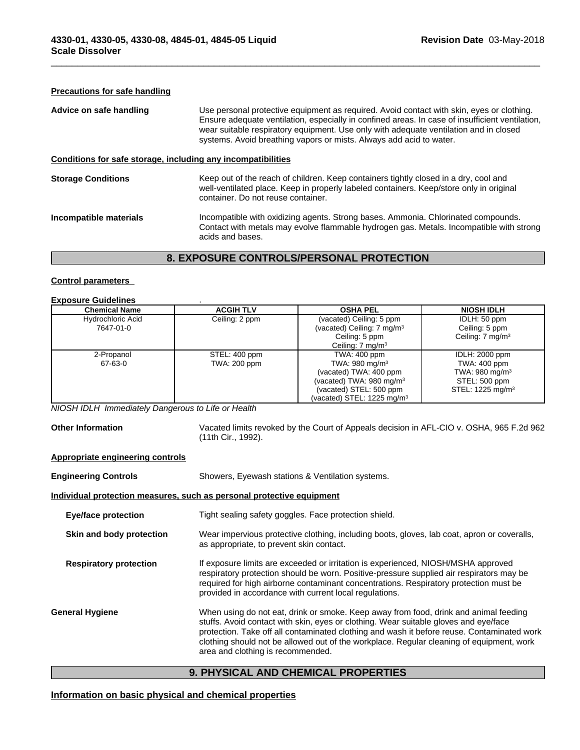#### **Precautions for safe handling**

| Use personal protective equipment as required. Avoid contact with skin, eyes or clothing.<br>Ensure adequate ventilation, especially in confined areas. In case of insufficient ventilation,<br>wear suitable respiratory equipment. Use only with adequate ventilation and in closed<br>systems. Avoid breathing vapors or mists. Always add acid to water. |  |
|--------------------------------------------------------------------------------------------------------------------------------------------------------------------------------------------------------------------------------------------------------------------------------------------------------------------------------------------------------------|--|
| Conditions for safe storage, including any incompatibilities                                                                                                                                                                                                                                                                                                 |  |
| Keep out of the reach of children. Keep containers tightly closed in a dry, cool and<br>well-ventilated place. Keep in properly labeled containers. Keep/store only in original<br>container. Do not reuse container.                                                                                                                                        |  |
| Incompatible with oxidizing agents. Strong bases. Ammonia. Chlorinated compounds.<br>Contact with metals may evolve flammable hydrogen gas. Metals. Incompatible with strong<br>acids and bases.                                                                                                                                                             |  |
|                                                                                                                                                                                                                                                                                                                                                              |  |

 $\overline{\phantom{a}}$  ,  $\overline{\phantom{a}}$  ,  $\overline{\phantom{a}}$  ,  $\overline{\phantom{a}}$  ,  $\overline{\phantom{a}}$  ,  $\overline{\phantom{a}}$  ,  $\overline{\phantom{a}}$  ,  $\overline{\phantom{a}}$  ,  $\overline{\phantom{a}}$  ,  $\overline{\phantom{a}}$  ,  $\overline{\phantom{a}}$  ,  $\overline{\phantom{a}}$  ,  $\overline{\phantom{a}}$  ,  $\overline{\phantom{a}}$  ,  $\overline{\phantom{a}}$  ,  $\overline{\phantom{a}}$ 

## **8. EXPOSURE CONTROLS/PERSONAL PROTECTION**

#### **Control parameters**

# **Exposure Guidelines** .

| <b>Chemical Name</b>     | <b>ACGIH TLV</b> | <b>OSHA PEL</b>                        | <b>NIOSH IDLH</b>            |
|--------------------------|------------------|----------------------------------------|------------------------------|
|                          |                  |                                        |                              |
| <b>Hydrochloric Acid</b> | Ceiling: 2 ppm   | (vacated) Ceiling: 5 ppm               | IDLH: 50 ppm                 |
| 7647-01-0                |                  | (vacated) Ceiling: 7 mg/m <sup>3</sup> | Ceiling: 5 ppm               |
|                          |                  | Ceiling: 5 ppm                         | Ceiling: $7 \text{ mg/m}^3$  |
|                          |                  | Ceiling: 7 mg/m <sup>3</sup>           |                              |
| 2-Propanol               | STEL: 400 ppm    | TWA: 400 ppm                           | IDLH: 2000 ppm               |
| 67-63-0                  | TWA: 200 ppm     | TWA: 980 mg/m $3$                      | TWA: 400 ppm                 |
|                          |                  | (vacated) TWA: 400 ppm                 | TWA: 980 mg/m <sup>3</sup>   |
|                          |                  | (vacated) TWA: $980 \text{ mg/m}^3$    | STEL: 500 ppm                |
|                          |                  | (vacated) STEL: 500 ppm                | STEL: 1225 mg/m <sup>3</sup> |
|                          |                  | (vacated) STEL: 1225 mg/m $3$          |                              |

*NIOSH IDLH Immediately Dangerous to Life or Health*

**Other Information** Vacated limits revoked by the Court of Appeals decision in AFL-CIO v.OSHA, 965 F.2d 962 (11th Cir., 1992).

#### **Appropriate engineering controls**

| <b>Engineering Controls</b>                                                         | Showers, Eyewash stations & Ventilation systems.                                                                                                                                                                                                                                                                                                                                                            |  |  |
|-------------------------------------------------------------------------------------|-------------------------------------------------------------------------------------------------------------------------------------------------------------------------------------------------------------------------------------------------------------------------------------------------------------------------------------------------------------------------------------------------------------|--|--|
|                                                                                     | Individual protection measures, such as personal protective equipment                                                                                                                                                                                                                                                                                                                                       |  |  |
| Tight sealing safety goggles. Face protection shield.<br><b>Eye/face protection</b> |                                                                                                                                                                                                                                                                                                                                                                                                             |  |  |
| Skin and body protection                                                            | Wear impervious protective clothing, including boots, gloves, lab coat, apron or coveralls,<br>as appropriate, to prevent skin contact.                                                                                                                                                                                                                                                                     |  |  |
| <b>Respiratory protection</b>                                                       | If exposure limits are exceeded or irritation is experienced, NIOSH/MSHA approved<br>respiratory protection should be worn. Positive-pressure supplied air respirators may be<br>required for high airborne contaminant concentrations. Respiratory protection must be<br>provided in accordance with current local regulations.                                                                            |  |  |
| <b>General Hygiene</b>                                                              | When using do not eat, drink or smoke. Keep away from food, drink and animal feeding<br>stuffs. Avoid contact with skin, eyes or clothing. Wear suitable gloves and eye/face<br>protection. Take off all contaminated clothing and wash it before reuse. Contaminated work<br>clothing should not be allowed out of the workplace. Regular cleaning of equipment, work<br>area and clothing is recommended. |  |  |
|                                                                                     |                                                                                                                                                                                                                                                                                                                                                                                                             |  |  |

# **9. PHYSICAL AND CHEMICAL PROPERTIES**

### **Information on basic physical and chemical properties**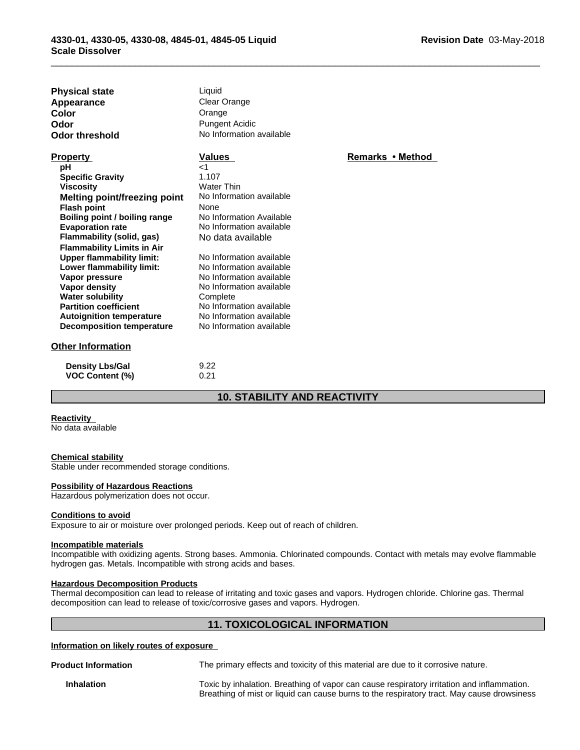| <b>Physical state</b><br>Appearance<br>Color<br>Odor<br><b>Odor threshold</b> | Liquid<br><b>Clear Orange</b><br>Orange<br><b>Pungent Acidic</b><br>No Information available |                  |
|-------------------------------------------------------------------------------|----------------------------------------------------------------------------------------------|------------------|
| <b>Property</b>                                                               | <b>Values</b>                                                                                | Remarks • Method |
| pH                                                                            | $<$ 1                                                                                        |                  |
| <b>Specific Gravity</b>                                                       | 1.107                                                                                        |                  |
| <b>Viscosity</b>                                                              | <b>Water Thin</b>                                                                            |                  |
| <b>Melting point/freezing point</b>                                           | No Information available                                                                     |                  |
| <b>Flash point</b>                                                            | None                                                                                         |                  |
| Boiling point / boiling range                                                 | No Information Available                                                                     |                  |
| <b>Evaporation rate</b>                                                       | No Information available                                                                     |                  |
| Flammability (solid, gas)                                                     | No data available                                                                            |                  |
| <b>Flammability Limits in Air</b>                                             | No Information available                                                                     |                  |
| <b>Upper flammability limit:</b>                                              | No Information available                                                                     |                  |
| Lower flammability limit:<br>Vapor pressure                                   | No Information available                                                                     |                  |
| <b>Vapor density</b>                                                          | No Information available                                                                     |                  |
| <b>Water solubility</b>                                                       | Complete                                                                                     |                  |
| <b>Partition coefficient</b>                                                  | No Information available                                                                     |                  |
| <b>Autoignition temperature</b>                                               | No Information available                                                                     |                  |
| <b>Decomposition temperature</b>                                              | No Information available                                                                     |                  |
| <b>Other Information</b>                                                      |                                                                                              |                  |
| <b>Density Lbs/Gal</b>                                                        | 9.22                                                                                         |                  |
| <b>VOC Content (%)</b>                                                        | 0.21                                                                                         |                  |

# **10. STABILITY AND REACTIVITY**

 $\overline{\phantom{a}}$  ,  $\overline{\phantom{a}}$  ,  $\overline{\phantom{a}}$  ,  $\overline{\phantom{a}}$  ,  $\overline{\phantom{a}}$  ,  $\overline{\phantom{a}}$  ,  $\overline{\phantom{a}}$  ,  $\overline{\phantom{a}}$  ,  $\overline{\phantom{a}}$  ,  $\overline{\phantom{a}}$  ,  $\overline{\phantom{a}}$  ,  $\overline{\phantom{a}}$  ,  $\overline{\phantom{a}}$  ,  $\overline{\phantom{a}}$  ,  $\overline{\phantom{a}}$  ,  $\overline{\phantom{a}}$ 

#### **Reactivity**

No data available

#### **Chemical stability**

Stable under recommended storage conditions.

#### **Possibility of Hazardous Reactions**

Hazardous polymerization does not occur.

#### **Conditions to avoid**

Exposure to air or moisture over prolonged periods. Keep out of reach of children.

#### **Incompatible materials**

Incompatible with oxidizing agents. Strong bases. Ammonia. Chlorinated compounds. Contact with metals may evolve flammable hydrogen gas. Metals. Incompatible with strong acids and bases.

#### **Hazardous Decomposition Products**

Thermal decomposition can lead to release of irritating and toxic gases and vapors. Hydrogen chloride. Chlorine gas. Thermal decomposition can lead to release of toxic/corrosive gases and vapors. Hydrogen.

#### **11. TOXICOLOGICAL INFORMATION**

#### **Information on likely routes of exposure**

**Product Information** The primary effects and toxicity of this material are due to it corrosive nature.

**Inhalation** Toxic by inhalation. Breathing of vapor can cause respiratory irritation and inflammation. Breathing of mist or liquid can cause burns to the respiratory tract. May cause drowsiness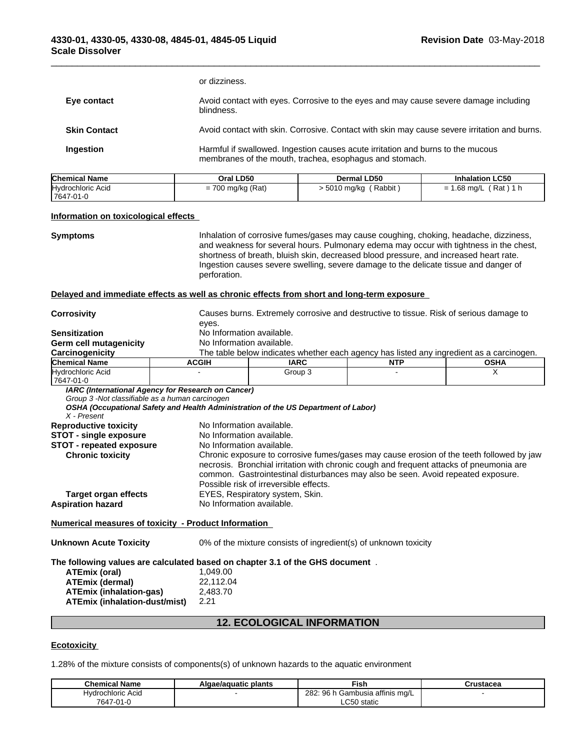|                                                  |           | or dizziness.                                                                                                                              |  |
|--------------------------------------------------|-----------|--------------------------------------------------------------------------------------------------------------------------------------------|--|
| Eye contact<br>blindness.<br><b>Skin Contact</b> |           | Avoid contact with eyes. Corrosive to the eyes and may cause severe damage including                                                       |  |
|                                                  |           | Avoid contact with skin. Corrosive. Contact with skin may cause severe irritation and burns.                                               |  |
|                                                  | Ingestion | Harmful if swallowed. Ingestion causes acute irritation and burns to the mucous<br>membranes of the mouth, trachea, esophagus and stomach. |  |

 $\overline{\phantom{a}}$  ,  $\overline{\phantom{a}}$  ,  $\overline{\phantom{a}}$  ,  $\overline{\phantom{a}}$  ,  $\overline{\phantom{a}}$  ,  $\overline{\phantom{a}}$  ,  $\overline{\phantom{a}}$  ,  $\overline{\phantom{a}}$  ,  $\overline{\phantom{a}}$  ,  $\overline{\phantom{a}}$  ,  $\overline{\phantom{a}}$  ,  $\overline{\phantom{a}}$  ,  $\overline{\phantom{a}}$  ,  $\overline{\phantom{a}}$  ,  $\overline{\phantom{a}}$  ,  $\overline{\phantom{a}}$ 

| <b>Chemical Name</b>            | Oral LD50           | Dermal LD50          | <b>Inhalation LC50</b>                              |
|---------------------------------|---------------------|----------------------|-----------------------------------------------------|
| Hydrochloric Acid<br>17647-01-0 | $= 700$ mg/kg (Rat) | Rabbit<br>5010 mg/kg | Rat<br>- CO<br>.68 mg/L<br>$\overline{\phantom{0}}$ |

#### **Information on toxicological effects**

**Symptoms Inhalation of corrosive fumes/gases may cause coughing, choking, headache, dizziness,** and weakness for several hours. Pulmonary edema may occur with tightness in the chest, shortness of breath, bluish skin, decreased blood pressure, and increased heart rate. Ingestion causes severe swelling, severe damage to the delicate tissue and danger of perforation.

#### **Delayed and immediate effects as well as chronic effects from short and long-term exposure**

| <b>Corrosivity</b>                                                            |                                                        | Causes burns. Extremely corrosive and destructive to tissue. Risk of serious damage to                                                                                                                                                                                                                            |            |             |  |  |  |
|-------------------------------------------------------------------------------|--------------------------------------------------------|-------------------------------------------------------------------------------------------------------------------------------------------------------------------------------------------------------------------------------------------------------------------------------------------------------------------|------------|-------------|--|--|--|
| <b>Sensitization</b>                                                          |                                                        | eyes.<br>No Information available.                                                                                                                                                                                                                                                                                |            |             |  |  |  |
| <b>Germ cell mutagenicity</b>                                                 |                                                        | No Information available.                                                                                                                                                                                                                                                                                         |            |             |  |  |  |
| Carcinogenicity                                                               |                                                        | The table below indicates whether each agency has listed any ingredient as a carcinogen.                                                                                                                                                                                                                          |            |             |  |  |  |
| <b>Chemical Name</b>                                                          | <b>ACGIH</b>                                           | <b>IARC</b>                                                                                                                                                                                                                                                                                                       | <b>NTP</b> | <b>OSHA</b> |  |  |  |
| Hydrochloric Acid<br>7647-01-0                                                |                                                        | Group 3                                                                                                                                                                                                                                                                                                           |            | X           |  |  |  |
| Group 3 -Not classifiable as a human carcinogen<br>X - Present                | IARC (International Agency for Research on Cancer)     | OSHA (Occupational Safety and Health Administration of the US Department of Labor)                                                                                                                                                                                                                                |            |             |  |  |  |
| <b>Reproductive toxicity</b><br><b>STOT - single exposure</b>                 | No Information available.<br>No Information available. |                                                                                                                                                                                                                                                                                                                   |            |             |  |  |  |
| <b>STOT - repeated exposure</b>                                               | No Information available.                              |                                                                                                                                                                                                                                                                                                                   |            |             |  |  |  |
| <b>Chronic toxicity</b>                                                       |                                                        | Chronic exposure to corrosive fumes/gases may cause erosion of the teeth followed by jaw<br>necrosis. Bronchial irritation with chronic cough and frequent attacks of pneumonia are<br>common. Gastrointestinal disturbances may also be seen. Avoid repeated exposure.<br>Possible risk of irreversible effects. |            |             |  |  |  |
| <b>Target organ effects</b>                                                   |                                                        | EYES, Respiratory system, Skin.                                                                                                                                                                                                                                                                                   |            |             |  |  |  |
| <b>Aspiration hazard</b>                                                      | No Information available.                              |                                                                                                                                                                                                                                                                                                                   |            |             |  |  |  |
| <b>Numerical measures of toxicity - Product Information</b>                   |                                                        |                                                                                                                                                                                                                                                                                                                   |            |             |  |  |  |
| <b>Unknown Acute Toxicity</b>                                                 |                                                        | 0% of the mixture consists of ingredient(s) of unknown toxicity                                                                                                                                                                                                                                                   |            |             |  |  |  |
| The following values are calculated based on chapter 3.1 of the GHS document. |                                                        |                                                                                                                                                                                                                                                                                                                   |            |             |  |  |  |
| ATEmix (oral)                                                                 | 1.049.00                                               |                                                                                                                                                                                                                                                                                                                   |            |             |  |  |  |
| <b>ATEmix (dermal)</b>                                                        | 22,112.04                                              |                                                                                                                                                                                                                                                                                                                   |            |             |  |  |  |

| A LEMIX (Oral)                       | 1.049.00  |
|--------------------------------------|-----------|
| <b>ATEmix (dermal)</b>               | 22.112.04 |
| <b>ATEmix (inhalation-gas)</b>       | 2.483.70  |
| <b>ATEmix (inhalation-dust/mist)</b> | 2.21      |

# **12. ECOLOGICAL INFORMATION**

#### **Ecotoxicity**

1.28% of the mixture consists of components(s) of unknown hazards to the aquatic environment

| <b>Chemical Name</b> | plants<br>Algae/aguatic | Fish                                   | Crustacea |
|----------------------|-------------------------|----------------------------------------|-----------|
| rochloric Acid       |                         | Gambusia affinis mg/L '<br>282<br>96 h |           |
| 7647-01-L            |                         | LC50 static                            |           |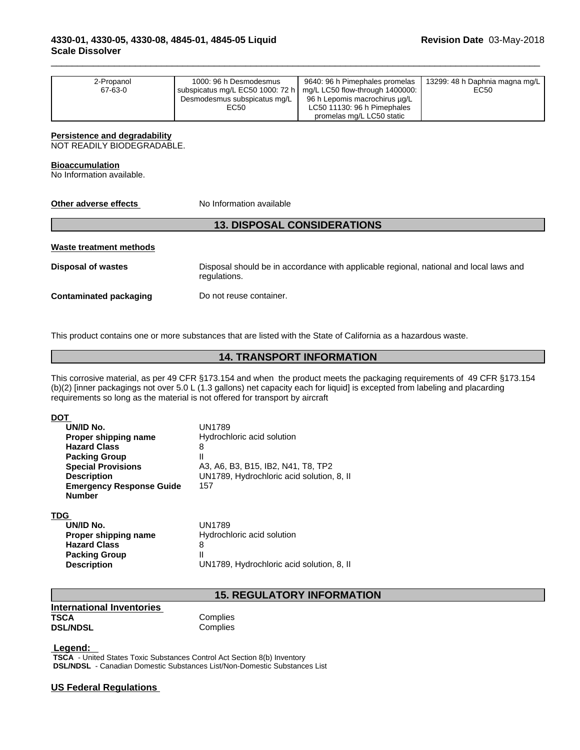| 2-Propanol<br>67-63-0 | 1000: 96 h Desmodesmus<br>subspicatus mg/L EC50 1000: 72 h $\mid$ mg/L LC50 flow-through 1400000:<br>Desmodesmus subspicatus mg/L<br>EC50 | 9640: 96 h Pimephales promelas<br>96 h Lepomis macrochirus µg/L<br>LC50 11130: 96 h Pimephales<br>promelas mg/L LC50 static | 13299: 48 h Daphnia magna mg/L  <br>EC50 |  |
|-----------------------|-------------------------------------------------------------------------------------------------------------------------------------------|-----------------------------------------------------------------------------------------------------------------------------|------------------------------------------|--|
|-----------------------|-------------------------------------------------------------------------------------------------------------------------------------------|-----------------------------------------------------------------------------------------------------------------------------|------------------------------------------|--|

 $\overline{\phantom{a}}$  ,  $\overline{\phantom{a}}$  ,  $\overline{\phantom{a}}$  ,  $\overline{\phantom{a}}$  ,  $\overline{\phantom{a}}$  ,  $\overline{\phantom{a}}$  ,  $\overline{\phantom{a}}$  ,  $\overline{\phantom{a}}$  ,  $\overline{\phantom{a}}$  ,  $\overline{\phantom{a}}$  ,  $\overline{\phantom{a}}$  ,  $\overline{\phantom{a}}$  ,  $\overline{\phantom{a}}$  ,  $\overline{\phantom{a}}$  ,  $\overline{\phantom{a}}$  ,  $\overline{\phantom{a}}$ 

## **Persistence and degradability**

NOT READILY BIODEGRADABLE.

#### **Bioaccumulation**

No Information available.

| Other adverse effects          | No Information available                                                                               |
|--------------------------------|--------------------------------------------------------------------------------------------------------|
|                                | <b>13. DISPOSAL CONSIDERATIONS</b>                                                                     |
| <b>Waste treatment methods</b> |                                                                                                        |
| <b>Disposal of wastes</b>      | Disposal should be in accordance with applicable regional, national and local laws and<br>regulations. |
| <b>Contaminated packaging</b>  | Do not reuse container.                                                                                |

This product contains one or more substances that are listed with the State of California as a hazardous waste.

### **14. TRANSPORT INFORMATION**

This corrosive material, as per 49 CFR §173.154 and when the product meets the packaging requirements of 49 CFR §173.154 (b)(2) [inner packagings not over 5.0 L (1.3 gallons) net capacity each for liquid] is excepted from labeling and placarding requirements so long as the material is not offered for transport by aircraft

#### **DOT**

| UN/ID No.                       | UN1789                                    |
|---------------------------------|-------------------------------------------|
| Proper shipping name            | Hydrochloric acid solution                |
| <b>Hazard Class</b>             | 8                                         |
| <b>Packing Group</b>            | Ш                                         |
| <b>Special Provisions</b>       | A3, A6, B3, B15, IB2, N41, T8, TP2        |
| <b>Description</b>              | UN1789, Hydrochloric acid solution, 8, II |
| <b>Emergency Response Guide</b> | 157                                       |
| <b>Number</b>                   |                                           |

#### **TDG**

| UN/ID No.            | UN1789                                    |
|----------------------|-------------------------------------------|
| Proper shipping name | Hydrochloric acid solution                |
| <b>Hazard Class</b>  |                                           |
| <b>Packing Group</b> |                                           |
| <b>Description</b>   | UN1789, Hydrochloric acid solution, 8, II |

## **15. REGULATORY INFORMATION**

**International Inventories TSCA** Complies<br> **DSL/NDSL** Complies **DSL/NDSL** 

 **Legend:** 

 **TSCA** - United States Toxic Substances Control Act Section 8(b) Inventory  **DSL/NDSL** - Canadian Domestic Substances List/Non-Domestic Substances List

#### **US Federal Regulations**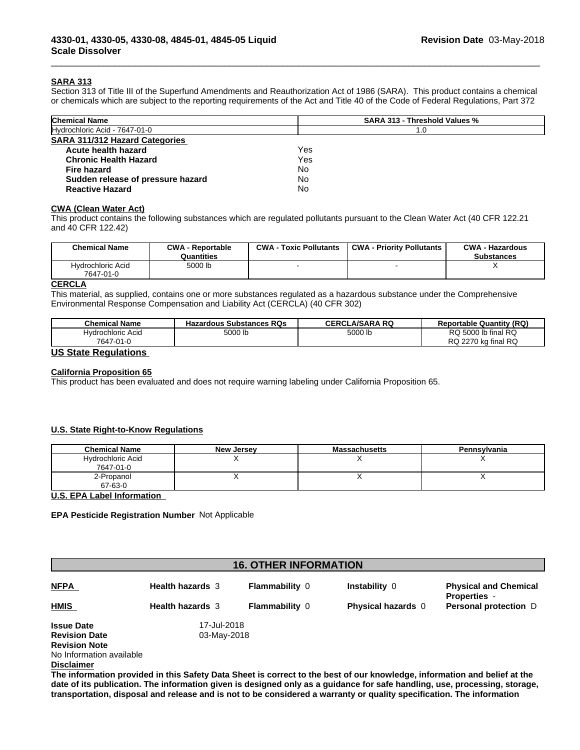#### **SARA 313**

Section 313 of Title III of the Superfund Amendments and Reauthorization Act of 1986 (SARA). This product contains a chemical or chemicals which are subject to the reporting requirements of the Act and Title 40 of the Code of Federal Regulations, Part 372

 $\overline{\phantom{a}}$  ,  $\overline{\phantom{a}}$  ,  $\overline{\phantom{a}}$  ,  $\overline{\phantom{a}}$  ,  $\overline{\phantom{a}}$  ,  $\overline{\phantom{a}}$  ,  $\overline{\phantom{a}}$  ,  $\overline{\phantom{a}}$  ,  $\overline{\phantom{a}}$  ,  $\overline{\phantom{a}}$  ,  $\overline{\phantom{a}}$  ,  $\overline{\phantom{a}}$  ,  $\overline{\phantom{a}}$  ,  $\overline{\phantom{a}}$  ,  $\overline{\phantom{a}}$  ,  $\overline{\phantom{a}}$ 

| <b>Chemical Name</b>                  | <b>SARA 313 - Threshold Values %</b> |
|---------------------------------------|--------------------------------------|
| Hydrochloric Acid - 7647-01-0         | 1.0                                  |
| <b>SARA 311/312 Hazard Categories</b> |                                      |
| Acute health hazard                   | Yes                                  |
| <b>Chronic Health Hazard</b>          | Yes                                  |
| Fire hazard                           | No                                   |
| Sudden release of pressure hazard     | No                                   |
| <b>Reactive Hazard</b>                | No                                   |

#### **CWA (Clean WaterAct)**

This product contains the following substances which are regulated pollutants pursuant to the Clean Water Act (40 CFR 122.21 and 40 CFR 122.42)

| <b>Chemical Name</b>           | <b>CWA - Reportable</b><br>Quantities | $CWA -$<br><b>Toxic Pollutants</b> | <b>CWA - Priority Pollutants</b> | <b>CWA - Hazardous</b><br><b>Substances</b> |
|--------------------------------|---------------------------------------|------------------------------------|----------------------------------|---------------------------------------------|
| Hvdrochloric Acid<br>7647-01-0 | 5000 lb                               |                                    |                                  |                                             |

#### **CERCLA**

This material, as supplied, contains one or more substances regulated as a hazardous substance under the Comprehensive Environmental Response Compensation and Liability Act (CERCLA) (40 CFR 302)

| <b>Chemical Name</b>                        | <b>Substances RQs</b><br>Hazardous | .A/SARA RQ<br>CERCL | <b>Reportable Quantity (RQ)</b>                                |
|---------------------------------------------|------------------------------------|---------------------|----------------------------------------------------------------|
| ⊣vdrochloric Acid<br>7647<br>∕ ∩1<br>יי⊢ו ∪ | 5000 ll                            | 5000 lb             | i RQ<br>RQ 5000 lb final<br>ka final RQ<br>227r د<br><b>RQ</b> |
| $\cdots$<br>-                               |                                    |                     |                                                                |

#### **US State Regulations**

#### **California Proposition 65**

This product has been evaluated and does not require warning labeling under California Proposition 65.

#### **U.S. State Right-to-Know Regulations**

| <b>Chemical Name</b> | <b>New Jersey</b> | <b>Massachusetts</b> | Pennsvlvania |
|----------------------|-------------------|----------------------|--------------|
| Hydrochloric Acid    |                   |                      |              |
| 7647-01-0            |                   |                      |              |
| 2-Propanol           |                   |                      | ,,           |
| 67-63-0              |                   |                      |              |

**U.S. EPA Label Information**

**EPA Pesticide Registration Number** Not Applicable

|                          |                         | <b>16. OTHER INFORMATION</b> |                                                                                                                           |                                                     |  |  |  |
|--------------------------|-------------------------|------------------------------|---------------------------------------------------------------------------------------------------------------------------|-----------------------------------------------------|--|--|--|
| <b>NFPA</b>              | <b>Health hazards 3</b> | <b>Flammability 0</b>        | Instability 0                                                                                                             | <b>Physical and Chemical</b><br><b>Properties</b> - |  |  |  |
| <b>HMIS</b>              | <b>Health hazards 3</b> | <b>Flammability 0</b>        | <b>Physical hazards</b> 0                                                                                                 | <b>Personal protection</b> D                        |  |  |  |
| <b>Issue Date</b>        | 17-Jul-2018             |                              |                                                                                                                           |                                                     |  |  |  |
| <b>Revision Date</b>     | 03-May-2018             |                              |                                                                                                                           |                                                     |  |  |  |
| <b>Revision Note</b>     |                         |                              |                                                                                                                           |                                                     |  |  |  |
| No Information available |                         |                              |                                                                                                                           |                                                     |  |  |  |
| <b>Disclaimer</b>        |                         |                              |                                                                                                                           |                                                     |  |  |  |
|                          |                         |                              | The information provided in this Safety Data Sheet is correct to the best of our knowledge, information and belief at the |                                                     |  |  |  |

date of its publication. The information given is designed only as a guidance for safe handling, use, processing, storage, transportation, disposal and release and is not to be considered a warranty or quality specification. The information